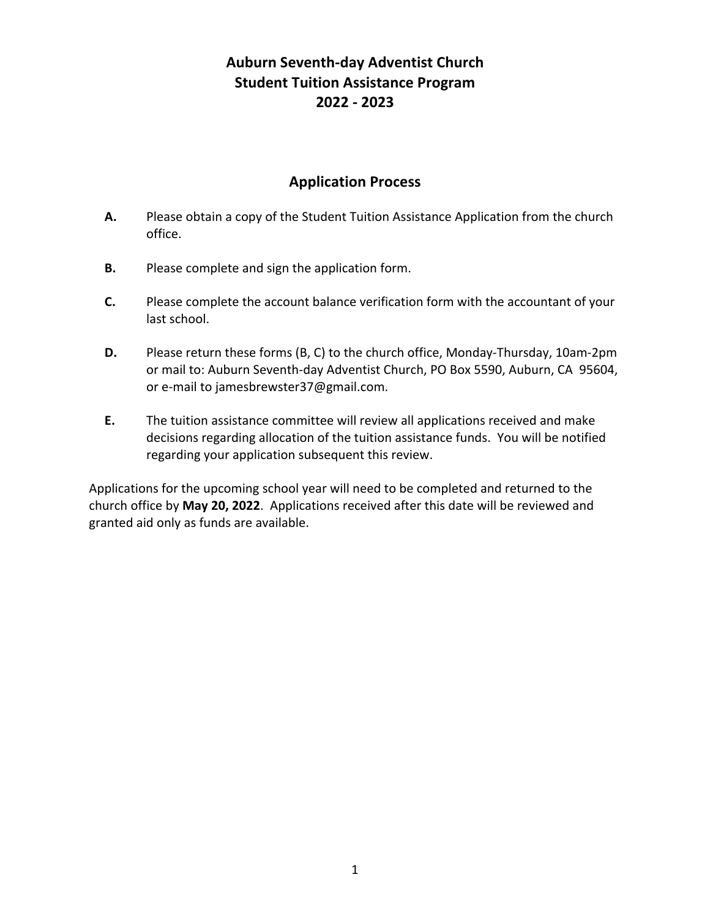# **Auburn Seventh-day Adventist Church Student Tuition Assistance Program 2022 - 2023**

## **Application Process**

- **A.** Please obtain a copy of the Student Tuition Assistance Application from the church office.
- **B.** Please complete and sign the application form.
- **C.** Please complete the account balance verification form with the accountant of your last school.
- **D.** Please return these forms (B, C) to the church office, Monday-Thursday, 10am-2pm or mail to: Auburn Seventh-day Adventist Church, PO Box 5590, Auburn, CA 95604, or e-mail to jamesbrewster37@gmail.com.
- **E.** The tuition assistance committee will review all applications received and make decisions regarding allocation of the tuition assistance funds. You will be notified regarding your application subsequent this review.

Applications for the upcoming school year will need to be completed and returned to the church office by **May 20, 2022**. Applications received after this date will be reviewed and granted aid only as funds are available.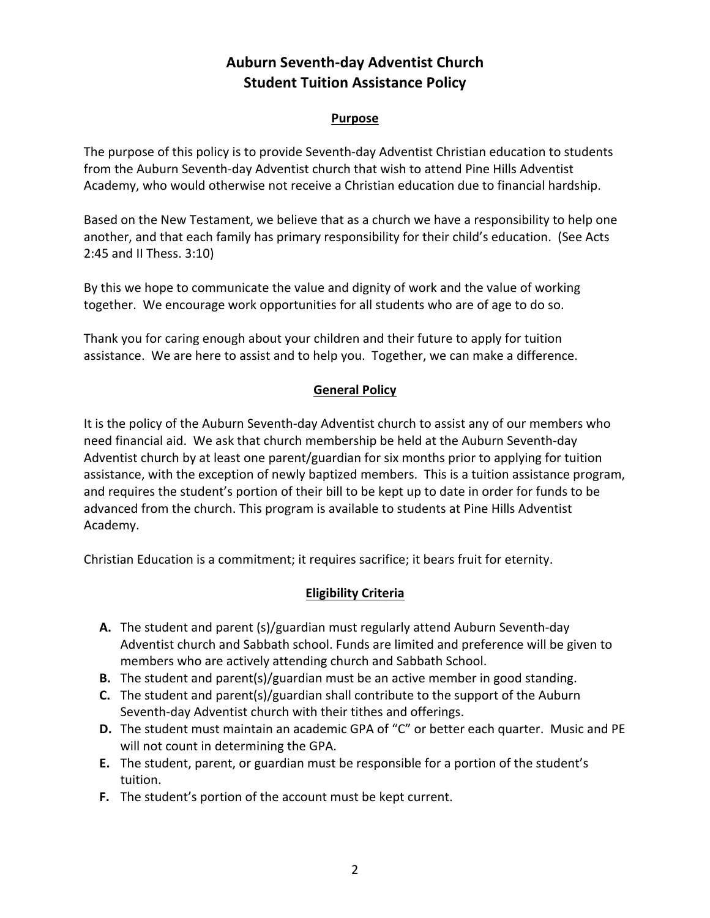# **Auburn Seventh-day Adventist Church Student Tuition Assistance Policy**

#### **Purpose**

The purpose of this policy is to provide Seventh-day Adventist Christian education to students from the Auburn Seventh-day Adventist church that wish to attend Pine Hills Adventist Academy, who would otherwise not receive a Christian education due to financial hardship.

Based on the New Testament, we believe that as a church we have a responsibility to help one another, and that each family has primary responsibility for their child's education. (See Acts 2:45 and II Thess. 3:10)

By this we hope to communicate the value and dignity of work and the value of working together. We encourage work opportunities for all students who are of age to do so.

Thank you for caring enough about your children and their future to apply for tuition assistance. We are here to assist and to help you. Together, we can make a difference.

## **General Policy**

It is the policy of the Auburn Seventh-day Adventist church to assist any of our members who need financial aid. We ask that church membership be held at the Auburn Seventh-day Adventist church by at least one parent/guardian for six months prior to applying for tuition assistance, with the exception of newly baptized members. This is a tuition assistance program, and requires the student's portion of their bill to be kept up to date in order for funds to be advanced from the church. This program is available to students at Pine Hills Adventist Academy.

Christian Education is a commitment; it requires sacrifice; it bears fruit for eternity.

## **Eligibility Criteria**

- **A.** The student and parent (s)/guardian must regularly attend Auburn Seventh-day Adventist church and Sabbath school. Funds are limited and preference will be given to members who are actively attending church and Sabbath School.
- **B.** The student and parent(s)/guardian must be an active member in good standing.
- **C.** The student and parent(s)/guardian shall contribute to the support of the Auburn Seventh-day Adventist church with their tithes and offerings.
- **D.** The student must maintain an academic GPA of "C" or better each quarter. Music and PE will not count in determining the GPA.
- **E.** The student, parent, or guardian must be responsible for a portion of the student's tuition.
- **F.** The student's portion of the account must be kept current.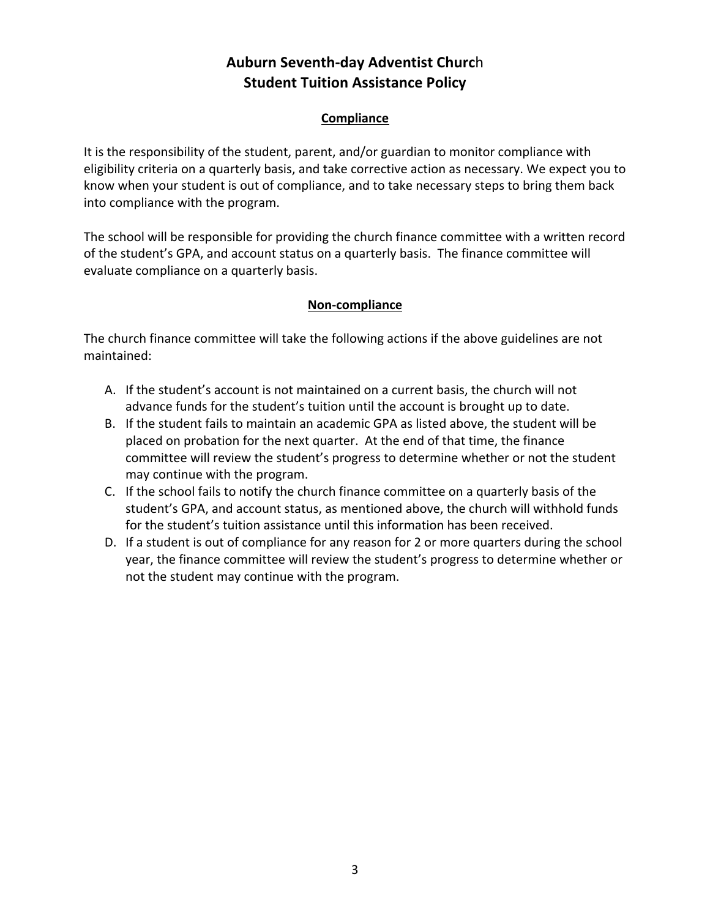# **Auburn Seventh-day Adventist Churc**h **Student Tuition Assistance Policy**

#### **Compliance**

It is the responsibility of the student, parent, and/or guardian to monitor compliance with eligibility criteria on a quarterly basis, and take corrective action as necessary. We expect you to know when your student is out of compliance, and to take necessary steps to bring them back into compliance with the program.

The school will be responsible for providing the church finance committee with a written record of the student's GPA, and account status on a quarterly basis. The finance committee will evaluate compliance on a quarterly basis.

### **Non-compliance**

The church finance committee will take the following actions if the above guidelines are not maintained:

- A. If the student's account is not maintained on a current basis, the church will not advance funds for the student's tuition until the account is brought up to date.
- B. If the student fails to maintain an academic GPA as listed above, the student will be placed on probation for the next quarter. At the end of that time, the finance committee will review the student's progress to determine whether or not the student may continue with the program.
- C. If the school fails to notify the church finance committee on a quarterly basis of the student's GPA, and account status, as mentioned above, the church will withhold funds for the student's tuition assistance until this information has been received.
- D. If a student is out of compliance for any reason for 2 or more quarters during the school year, the finance committee will review the student's progress to determine whether or not the student may continue with the program.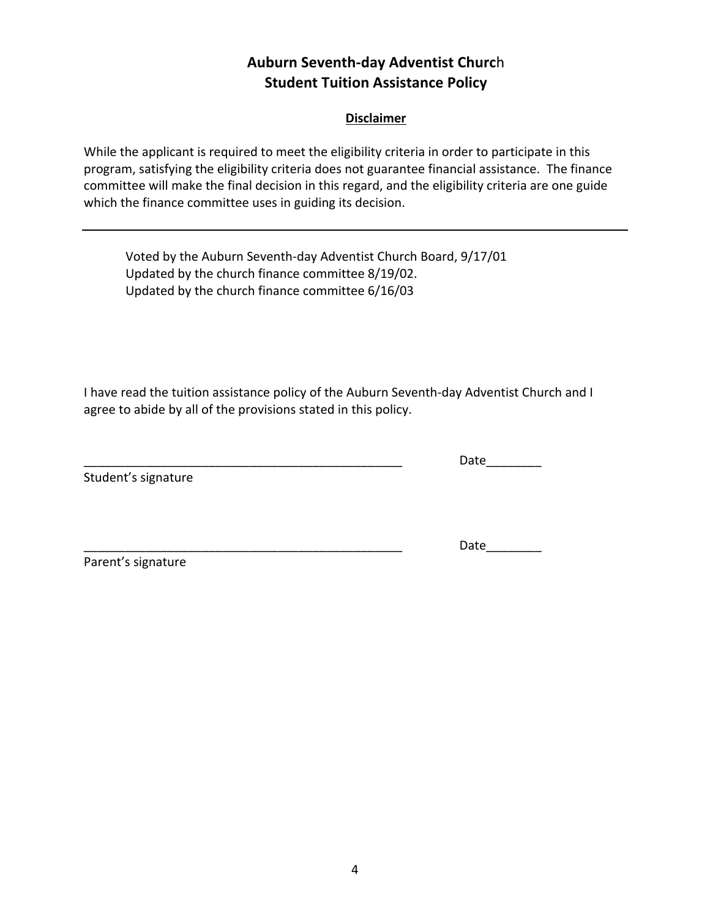## **Auburn Seventh-day Adventist Churc**h **Student Tuition Assistance Policy**

#### **Disclaimer**

While the applicant is required to meet the eligibility criteria in order to participate in this program, satisfying the eligibility criteria does not guarantee financial assistance. The finance committee will make the final decision in this regard, and the eligibility criteria are one guide which the finance committee uses in guiding its decision.

Voted by the Auburn Seventh-day Adventist Church Board, 9/17/01 Updated by the church finance committee 8/19/02. Updated by the church finance committee 6/16/03

I have read the tuition assistance policy of the Auburn Seventh-day Adventist Church and I agree to abide by all of the provisions stated in this policy.

Student's signature

Date

Date

Parent's signature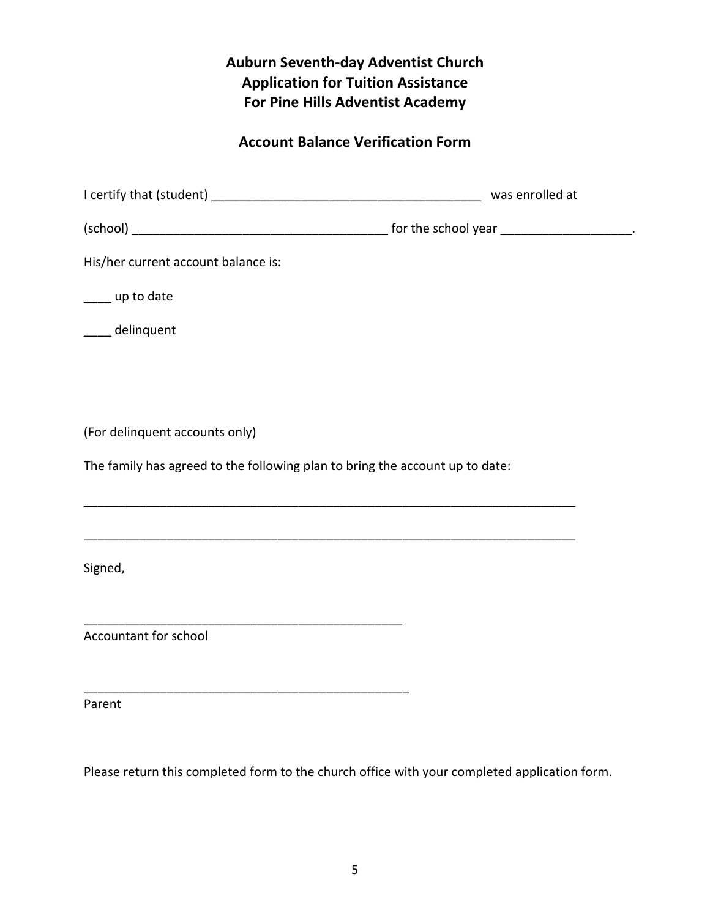# **Auburn Seventh-day Adventist Church Application for Tuition Assistance For Pine Hills Adventist Academy**

# **Account Balance Verification Form**

|                                                                              | was enrolled at |  |  |  |
|------------------------------------------------------------------------------|-----------------|--|--|--|
|                                                                              |                 |  |  |  |
| His/her current account balance is:                                          |                 |  |  |  |
| ____ up to date                                                              |                 |  |  |  |
| ____ delinquent                                                              |                 |  |  |  |
|                                                                              |                 |  |  |  |
|                                                                              |                 |  |  |  |
| (For delinquent accounts only)                                               |                 |  |  |  |
| The family has agreed to the following plan to bring the account up to date: |                 |  |  |  |
|                                                                              |                 |  |  |  |
|                                                                              |                 |  |  |  |
| Signed,                                                                      |                 |  |  |  |
|                                                                              |                 |  |  |  |
| Accountant for school                                                        |                 |  |  |  |
|                                                                              |                 |  |  |  |
|                                                                              |                 |  |  |  |

Parent

Please return this completed form to the church office with your completed application form.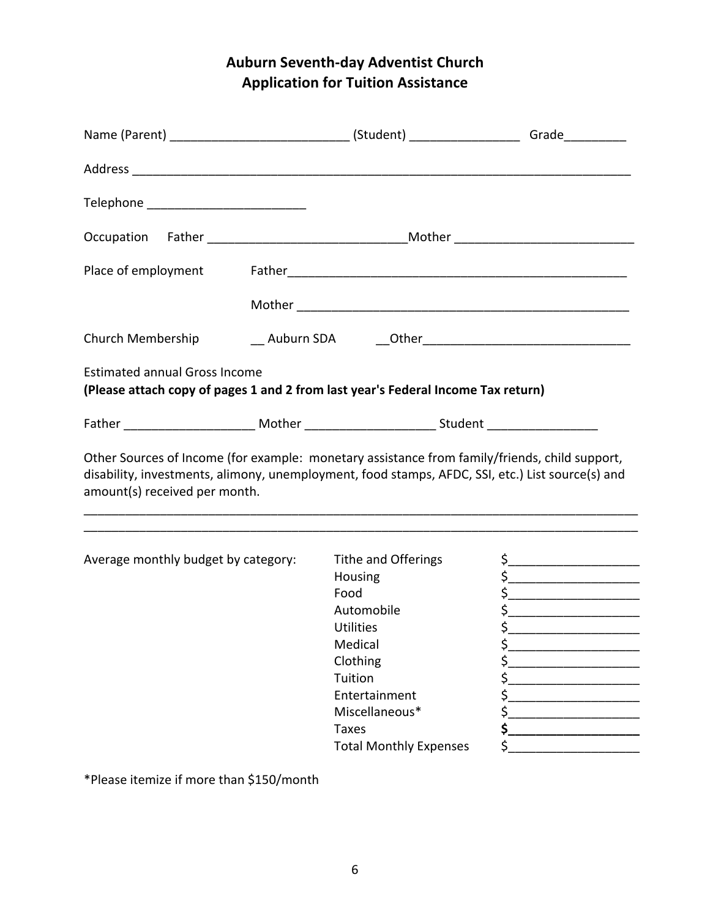# **Auburn Seventh-day Adventist Church Application for Tuition Assistance**

| Telephone __________________________ |  |                                                                                                                                                                                                   |  |
|--------------------------------------|--|---------------------------------------------------------------------------------------------------------------------------------------------------------------------------------------------------|--|
|                                      |  |                                                                                                                                                                                                   |  |
| Place of employment                  |  |                                                                                                                                                                                                   |  |
|                                      |  |                                                                                                                                                                                                   |  |
| Church Membership                    |  |                                                                                                                                                                                                   |  |
| <b>Estimated annual Gross Income</b> |  | (Please attach copy of pages 1 and 2 from last year's Federal Income Tax return)                                                                                                                  |  |
|                                      |  |                                                                                                                                                                                                   |  |
| amount(s) received per month.        |  | Other Sources of Income (for example: monetary assistance from family/friends, child support,<br>disability, investments, alimony, unemployment, food stamps, AFDC, SSI, etc.) List source(s) and |  |
|                                      |  |                                                                                                                                                                                                   |  |

\*Please itemize if more than \$150/month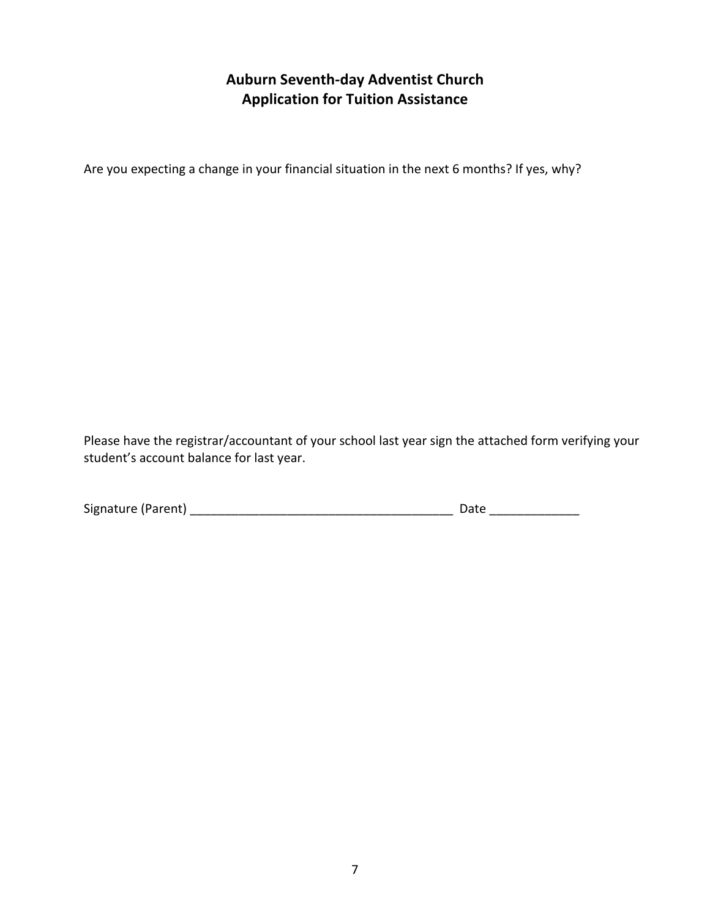## **Auburn Seventh-day Adventist Church Application for Tuition Assistance**

Are you expecting a change in your financial situation in the next 6 months? If yes, why?

Please have the registrar/accountant of your school last year sign the attached form verifying your student's account balance for last year.

| Signature (Parent) | Date |
|--------------------|------|
|                    |      |